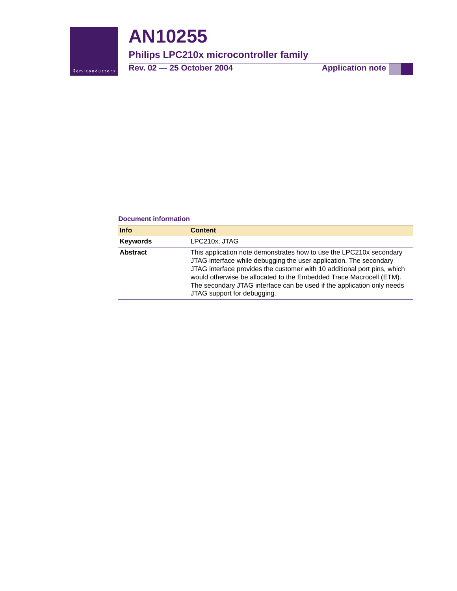

# **AN10255**

# **Philips LPC210x microcontroller family**

**Rev. 02 — 25 October 2004 Application note**

#### **Document information**

| <b>Info</b>     | <b>Content</b>                                                                                                                                                                                                                                                                                                                                                                                        |
|-----------------|-------------------------------------------------------------------------------------------------------------------------------------------------------------------------------------------------------------------------------------------------------------------------------------------------------------------------------------------------------------------------------------------------------|
| <b>Keywords</b> | LPC210x, JTAG                                                                                                                                                                                                                                                                                                                                                                                         |
| <b>Abstract</b> | This application note demonstrates how to use the LPC210x secondary<br>JTAG interface while debugging the user application. The secondary<br>JTAG interface provides the customer with 10 additional port pins, which<br>would otherwise be allocated to the Embedded Trace Macrocell (ETM).<br>The secondary JTAG interface can be used if the application only needs<br>JTAG support for debugging. |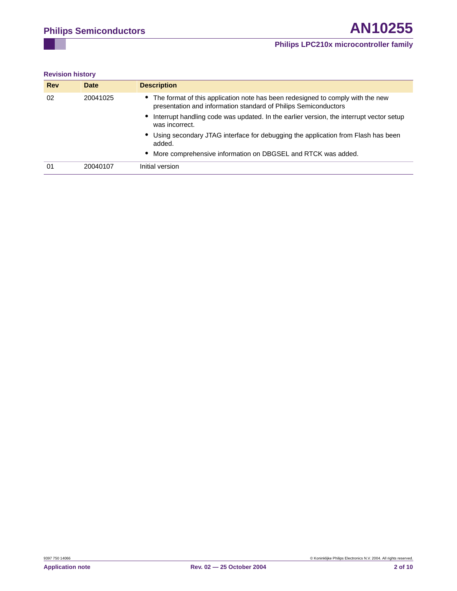#### **Revision history**

| <b>Rev</b> | <b>Date</b> | <b>Description</b>                                                                                                                                  |
|------------|-------------|-----------------------------------------------------------------------------------------------------------------------------------------------------|
| 02         | 20041025    | • The format of this application note has been redesigned to comply with the new<br>presentation and information standard of Philips Semiconductors |
|            |             | Interrupt handling code was updated. In the earlier version, the interrupt vector setup<br>was incorrect.                                           |
|            |             | • Using secondary JTAG interface for debugging the application from Flash has been<br>added.                                                        |
|            |             | • More comprehensive information on DBGSEL and RTCK was added.                                                                                      |
| 01         | 20040107    | Initial version                                                                                                                                     |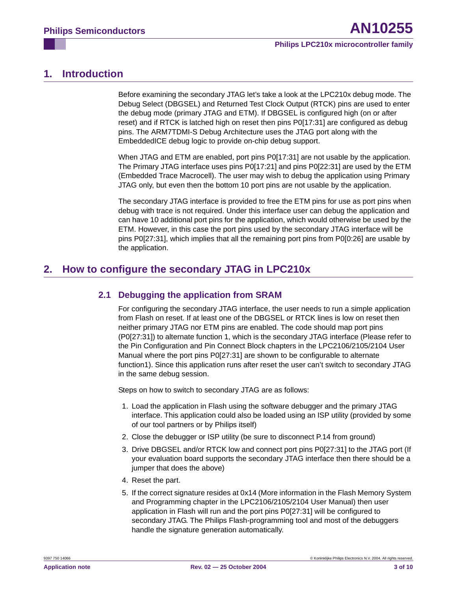# <span id="page-2-0"></span>**1. Introduction**

Before examining the secondary JTAG let's take a look at the LPC210x debug mode. The Debug Select (DBGSEL) and Returned Test Clock Output (RTCK) pins are used to enter the debug mode (primary JTAG and ETM). If DBGSEL is configured high (on or after reset) and if RTCK is latched high on reset then pins P0[17:31] are configured as debug pins. The ARM7TDMI-S Debug Architecture uses the JTAG port along with the EmbeddedICE debug logic to provide on-chip debug support.

When JTAG and ETM are enabled, port pins P0[17:31] are not usable by the application. The Primary JTAG interface uses pins P0[17:21] and pins P0[22:31] are used by the ETM (Embedded Trace Macrocell). The user may wish to debug the application using Primary JTAG only, but even then the bottom 10 port pins are not usable by the application.

The secondary JTAG interface is provided to free the ETM pins for use as port pins when debug with trace is not required. Under this interface user can debug the application and can have 10 additional port pins for the application, which would otherwise be used by the ETM. However, in this case the port pins used by the secondary JTAG interface will be pins P0[27:31], which implies that all the remaining port pins from P0[0:26] are usable by the application.

# <span id="page-2-2"></span><span id="page-2-1"></span>**2. How to configure the secondary JTAG in LPC210x**

# **2.1 Debugging the application from SRAM**

For configuring the secondary JTAG interface, the user needs to run a simple application from Flash on reset. If at least one of the DBGSEL or RTCK lines is low on reset then neither primary JTAG nor ETM pins are enabled. The code should map port pins (P0[27:31]) to alternate function 1, which is the secondary JTAG interface (Please refer to the Pin Configuration and Pin Connect Block chapters in the LPC2106/2105/2104 User Manual where the port pins P0[27:31] are shown to be configurable to alternate function1). Since this application runs after reset the user can't switch to secondary JTAG in the same debug session.

Steps on how to switch to secondary JTAG are as follows:

- 1. Load the application in Flash using the software debugger and the primary JTAG interface. This application could also be loaded using an ISP utility (provided by some of our tool partners or by Philips itself)
- 2. Close the debugger or ISP utility (be sure to disconnect P.14 from ground)
- 3. Drive DBGSEL and/or RTCK low and connect port pins P0[27:31] to the JTAG port (If your evaluation board supports the secondary JTAG interface then there should be a jumper that does the above)
- 4. Reset the part.
- 5. If the correct signature resides at 0x14 (More information in the Flash Memory System and Programming chapter in the LPC2106/2105/2104 User Manual) then user application in Flash will run and the port pins P0[27:31] will be configured to secondary JTAG. The Philips Flash-programming tool and most of the debuggers handle the signature generation automatically.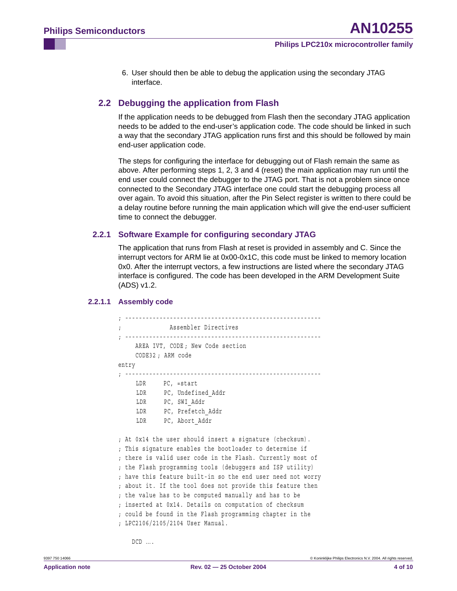6. User should then be able to debug the application using the secondary JTAG interface.

# <span id="page-3-0"></span>**2.2 Debugging the application from Flash**

If the application needs to be debugged from Flash then the secondary JTAG application needs to be added to the end-user's application code. The code should be linked in such a way that the secondary JTAG application runs first and this should be followed by main end-user application code.

The steps for configuring the interface for debugging out of Flash remain the same as above. After performing steps 1, 2, 3 and 4 (reset) the main application may run until the end user could connect the debugger to the JTAG port. That is not a problem since once connected to the Secondary JTAG interface one could start the debugging process all over again. To avoid this situation, after the Pin Select register is written to there could be a delay routine before running the main application which will give the end-user sufficient time to connect the debugger.

#### <span id="page-3-1"></span>**2.2.1 Software Example for configuring secondary JTAG**

The application that runs from Flash at reset is provided in assembly and C. Since the interrupt vectors for ARM lie at 0x00-0x1C, this code must be linked to memory location 0x0. After the interrupt vectors, a few instructions are listed where the secondary JTAG interface is configured. The code has been developed in the ARM Development Suite (ADS) v1.2.

#### <span id="page-3-2"></span>**2.2.1.1 Assembly code**

```
; ---------------------------------------------------------
; Assembler Directives
 ; ---------------------------------------------------------
    AREA IVT, CODE ; New Code section
    CODE32 ; ARM code
entry
; ---------------------------------------------------------
    LDR PC, =start
     LDR PC, Undefined_Addr
     LDR PC, SWI_Addr
     LDR PC, Prefetch Addr
     LDR PC, Abort Addr
; At 0x14 the user should insert a signature (checksum). 
; This signature enables the bootloader to determine if 
; there is valid user code in the Flash. Currently most of 
; the Flash programming tools (debuggers and ISP utility) 
; have this feature built-in so the end user need not worry 
; about it. If the tool does not provide this feature then 
; the value has to be computed manually and has to be 
; inserted at 0x14. Details on computation of checksum 
; could be found in the Flash programming chapter in the 
; LPC2106/2105/2104 User Manual.
```
DCD ....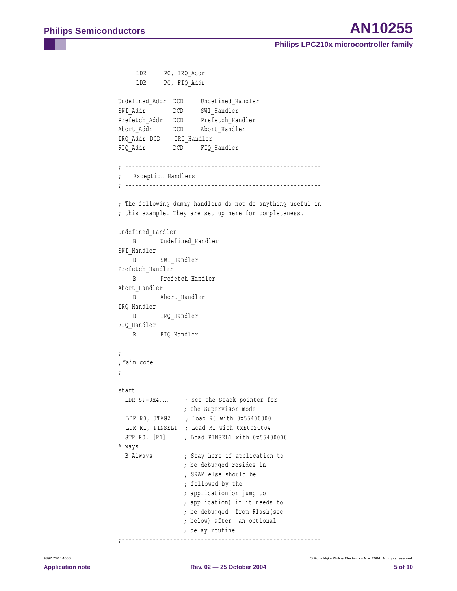```
LDR PC, IRQ_Addr
    LDR PC, FIQ Addr
Undefined Addr DCD Undefined Handler
SWI_Addr DCD SWI_Handler
Prefetch Addr DCD Prefetch Handler
Abort Addr DCD Abort Handler
IRQ_Addr DCD IRQ_Handler
FIQ_Addr DCD FIQ_Handler
; ---------------------------------------------------------
; Exception Handlers
; ---------------------------------------------------------
; The following dummy handlers do not do anything useful in 
; this example. They are set up here for completeness.
Undefined_Handler
   B Undefined Handler
SWI_Handler
   B SWI_Handler
Prefetch_Handler
    B Prefetch_Handler
Abort Handler
    B Abort_Handler
IRQ_Handler
   B IRQ Handler
FIQ_Handler
    B FIQ_Handler
;----------------------------------------------------------
; Main code
;---------------------------------------------------------- 
start
 LDR SP=0x4...... ; Set the Stack pointer for
                ; the Supervisor mode
 LDR R0, JTAG2 ; Load R0 with 0x55400000
 LDR R1, PINSEL1 ; Load R1 with 0xE002C004 
 STR R0, [R1] ; Load PINSEL1 with 0x55400000 
Always
 B Always ; Stay here if application to 
                 ; be debugged resides in 
                  ; SRAM else should be 
                  ; followed by the 
                  ; application(or jump to 
                  ; application) if it needs to 
                  ; be debugged from Flash(see 
                 ; below) after an optional 
                 ; delay routine
;----------------------------------------------------------
```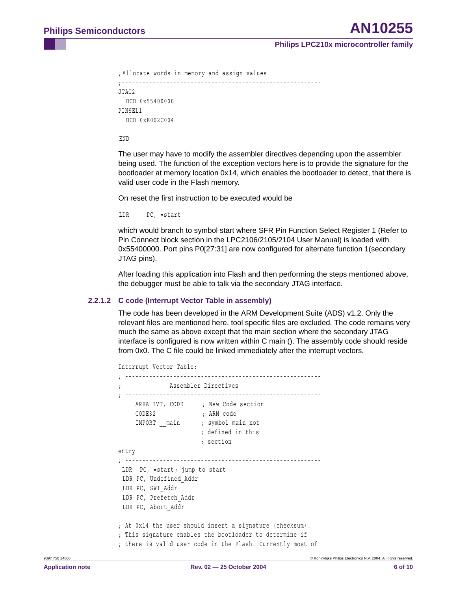```
; Allocate words in memory and assign values
;----------------------------------------------------------
JTAG2
  DCD 0x55400000
PINSEL1
  DCD 0xE002C004
```
END

The user may have to modify the assembler directives depending upon the assembler being used. The function of the exception vectors here is to provide the signature for the bootloader at memory location 0x14, which enables the bootloader to detect, that there is valid user code in the Flash memory.

On reset the first instruction to be executed would be

```
LDR PC, =start
```
which would branch to symbol start where SFR Pin Function Select Register 1 (Refer to Pin Connect block section in the LPC2106/2105/2104 User Manual) is loaded with 0x55400000. Port pins P0[27:31] are now configured for alternate function 1(secondary JTAG pins).

After loading this application into Flash and then performing the steps mentioned above, the debugger must be able to talk via the secondary JTAG interface.

#### <span id="page-5-0"></span>**2.2.1.2 C code (Interrupt Vector Table in assembly)**

The code has been developed in the ARM Development Suite (ADS) v1.2. Only the relevant files are mentioned here, tool specific files are excluded. The code remains very much the same as above except that the main section where the secondary JTAG interface is configured is now written within C main (). The assembly code should reside from 0x0. The C file could be linked immediately after the interrupt vectors.

```
Interrupt Vector Table:
; ---------------------------------------------------------
             Assembler Directives
; ---------------------------------------------------------
    AREA IVT, CODE ; New Code section
    CODE32 ; ARM code
    IMPORT main ; symbol main not
                       ; defined in this 
                       ; section
entry
; ---------------------------------------------------------
LDR PC, =start; jump to start
 LDR PC, Undefined_Addr
  LDR PC, SWI_Addr
 LDR PC, Prefetch_Addr
 LDR PC, Abort_Addr
; At 0x14 the user should insert a signature (checksum). 
; This signature enables the bootloader to determine if 
; there is valid user code in the Flash. Currently most of
```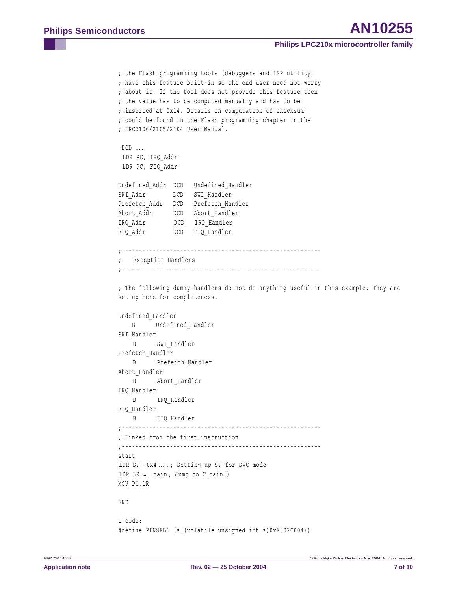```
; the Flash programming tools (debuggers and ISP utility) 
; have this feature built-in so the end user need not worry 
; about it. If the tool does not provide this feature then 
; the value has to be computed manually and has to be 
; inserted at 0x14. Details on computation of checksum 
; could be found in the Flash programming chapter in the 
; LPC2106/2105/2104 User Manual.
DCD ....
 LDR PC, IRQ_Addr
 LDR PC, FIQ_Addr
Undefined_Addr DCD Undefined_Handler
SWI_Addr DCD SWI_Handler
Prefetch Addr DCD Prefetch Handler
Abort Addr DCD Abort Handler
IRQ_Addr DCD IRQ_Handler
FIQ_Addr DCD FIQ_Handler
; ---------------------------------------------------------
  Exception Handlers
; ---------------------------------------------------------
; The following dummy handlers do not do anything useful in this example. They are 
set up here for completeness.
Undefined_Handler
  B Undefined Handler
SWI Handler
    B SWI_Handler 
Prefetch_Handler
   B Prefetch Handler
Abort Handler
   B Abort Handler
IRQ_Handler
    B IRQ_Handler
FIQ_Handler
    B FIQ_Handler
;----------------------------------------------------------
; Linked from the first instruction
;----------------------------------------------------------
start
LDR SP, = 0x4....; Setting up SP for SVC mode
LDR LR_{i} = main; Jump to C main()
MOV PC,LR
END
C code:
```
#define PINSEL1 (\*((volatile unsigned int \*)0xE002C004))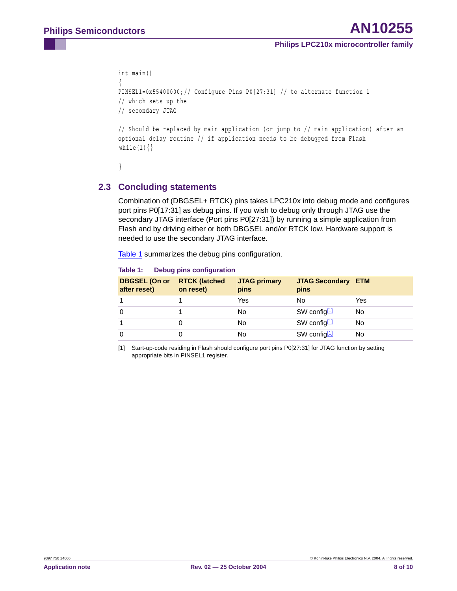```
int main() 
{
PINSEL1=0x55400000;// Configure Pins P0[27:31] // to alternate function 1 
// which sets up the 
// secondary JTAG
// Should be replaced by main application (or jump to // main application) after an 
optional delay routine // if application needs to be debugged from Flash 
while(1){}}
```
### <span id="page-7-2"></span>**2.3 Concluding statements**

Combination of (DBGSEL+ RTCK) pins takes LPC210x into debug mode and configures port pins P0[17:31] as debug pins. If you wish to debug only through JTAG use the secondary JTAG interface (Port pins P0[27:31]) by running a simple application from Flash and by driving either or both DBGSEL and/or RTCK low. Hardware support is needed to use the secondary JTAG interface.

[Table](#page-7-1) 1 summarizes the debug pins configuration.

| <b>DBGSEL (On or</b><br>after reset) | <b>RTCK (latched</b><br>on reset) | <b>JTAG primary</b><br>pins | <b>JTAG Secondary ETM</b><br>pins |     |
|--------------------------------------|-----------------------------------|-----------------------------|-----------------------------------|-----|
|                                      |                                   | Yes                         | No                                | Yes |
|                                      |                                   | No                          | SW config $11$                    | No. |
|                                      |                                   | No                          | SW config $11$                    | No. |
|                                      |                                   | No                          | SW config $11$                    | No  |

<span id="page-7-1"></span>**Table 1: Debug pins configuration**

<span id="page-7-0"></span>[1] Start-up-code residing in Flash should configure port pins P0[27:31] for JTAG function by setting appropriate bits in PINSEL1 register.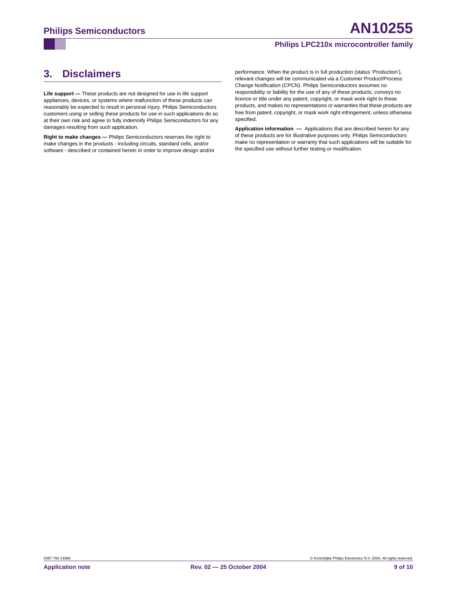# <span id="page-8-0"></span>**3. Disclaimers**

**Life support —** These products are not designed for use in life support appliances, devices, or systems where malfunction of these products can reasonably be expected to result in personal injury. Philips Semiconductors customers using or selling these products for use in such applications do so at their own risk and agree to fully indemnify Philips Semiconductors for any damages resulting from such application.

**Right to make changes —** Philips Semiconductors reserves the right to make changes in the products - including circuits, standard cells, and/or software - described or contained herein in order to improve design and/or performance. When the product is in full production (status 'Production'), relevant changes will be communicated via a Customer Product/Process Change Notification (CPCN). Philips Semiconductors assumes no responsibility or liability for the use of any of these products, conveys no licence or title under any patent, copyright, or mask work right to these products, and makes no representations or warranties that these products are free from patent, copyright, or mask work right infringement, unless otherwise specified.

**Application information —** Applications that are described herein for any of these products are for illustrative purposes only. Philips Semiconductors make no representation or warranty that such applications will be suitable for the specified use without further testing or modification.